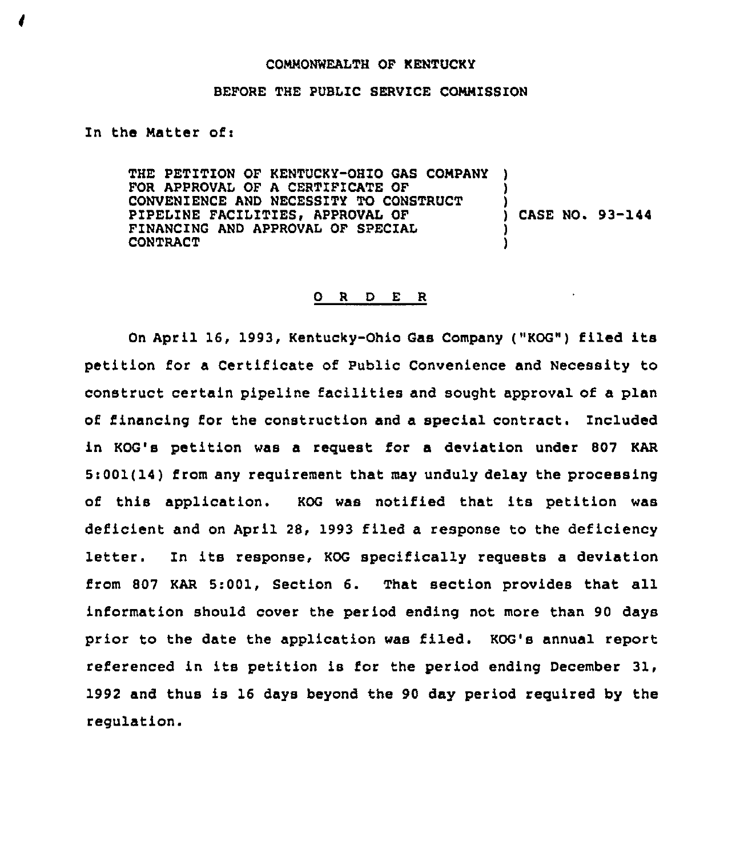## COMMONWEALTH OF KENTUCKY

## BEFORE THE PUBLIC SERVICE COMMISSION

## In the Matter of:

THE PETITION OF KENTUCKY-OHIO GAS COMPANY FOR APPROVAL OF A CERTIFICATE OF CONVENIENCE AND NECESSITY TO CONSTRUCT PIPELINE FACILITIES, APPROVAL OF FINANCING AND APPROVAL OF SPECIAL CONTRACT ) ) ) CASE NO. 93-144 ) )

## O R D E R

On April 16, 1993, Kentucky-Ohio Gas Company ("KOG") filed its petition for a Certificate of Public Convenience and Necessity to construct certain pipeline facilities and sought approval of a plan of. financing for the construction and a special contract. included in KOG's petition was a request for a deviation under 807 KAR Si001(14) from any requirement that may unduly delay the processing of this application, KOG was notified that its petition was deficient and on April 28, 1993 filed a response to the deficiency letter. In its response, KOG specifically requests a deviation from 807 KAR 5:001, Section 6. That section provides that all information should cover the period ending not more than 90 days prior to the date the application was filed. KOG's annual report referenced in its petition is for the period ending December 31, 1992 and thus is 16 days beyond the 90 day period required by the regulation.